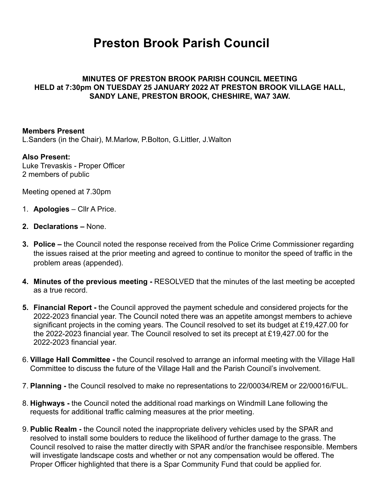# **Preston Brook Parish Council**

### **MINUTES OF PRESTON BROOK PARISH COUNCIL MEETING HELD at 7:30pm ON TUESDAY 25 JANUARY 2022 AT PRESTON BROOK VILLAGE HALL, SANDY LANE, PRESTON BROOK, CHESHIRE, WA7 3AW.**

### **Members Present**

L.Sanders (in the Chair), M.Marlow, P.Bolton, G.Littler, J.Walton

#### **Also Present:**

Luke Trevaskis - Proper Officer 2 members of public

Meeting opened at 7.30pm

- 1. **Apologies** Cllr A Price.
- **2. Declarations** None.
- **3. Police** the Council noted the response received from the Police Crime Commissioner regarding the issues raised at the prior meeting and agreed to continue to monitor the speed of traffic in the problem areas (appended).
- **4. Minutes of the previous meeting** RESOLVED that the minutes of the last meeting be accepted as a true record.
- **5. Financial Report** the Council approved the payment schedule and considered projects for the 2022-2023 financial year. The Council noted there was an appetite amongst members to achieve significant projects in the coming years. The Council resolved to set its budget at £19,427.00 for the 2022-2023 financial year. The Council resolved to set its precept at £19,427.00 for the 2022-2023 financial year.
- 6. **Village Hall Committee** the Council resolved to arrange an informal meeting with the Village Hall Committee to discuss the future of the Village Hall and the Parish Council's involvement.
- 7. **Planning** the Council resolved to make no representations to 22/00034/REM or 22/00016/FUL.
- 8. **Highways** the Council noted the additional road markings on Windmill Lane following the requests for additional traffic calming measures at the prior meeting.
- 9. **Public Realm** the Council noted the inappropriate delivery vehicles used by the SPAR and resolved to install some boulders to reduce the likelihood of further damage to the grass. The Council resolved to raise the matter directly with SPAR and/or the franchisee responsible. Members will investigate landscape costs and whether or not any compensation would be offered. The Proper Officer highlighted that there is a Spar Community Fund that could be applied for.